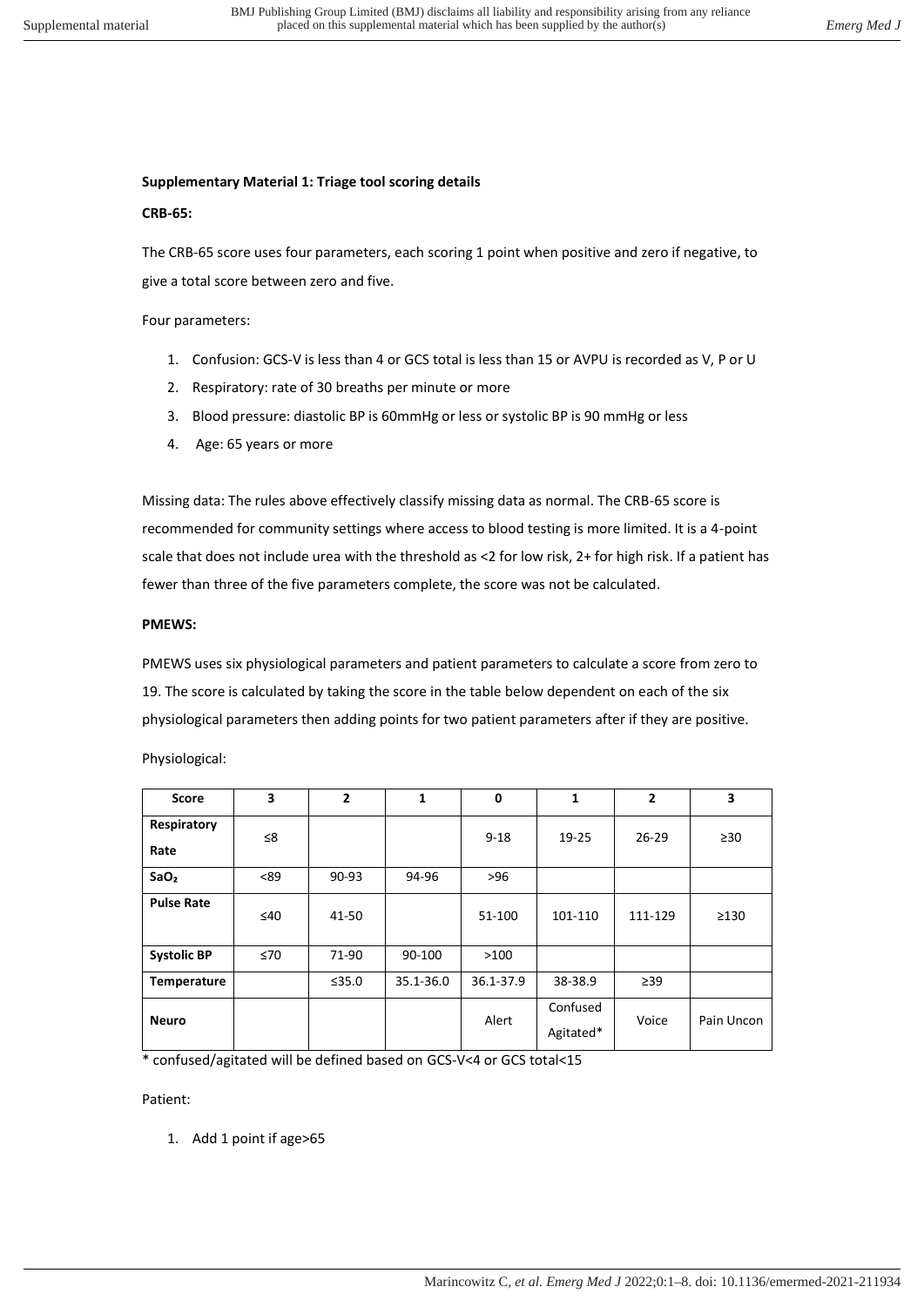# **Supplementary Material 1: Triage tool scoring details**

## **CRB-65:**

The CRB-65 score uses four parameters, each scoring 1 point when positive and zero if negative, to give a total score between zero and five.

Four parameters:

- 1. Confusion: GCS-V is less than 4 or GCS total is less than 15 or AVPU is recorded as V, P or U
- 2. Respiratory: rate of 30 breaths per minute or more
- 3. Blood pressure: diastolic BP is 60mmHg or less or systolic BP is 90 mmHg or less
- 4. Age: 65 years or more

Missing data: The rules above effectively classify missing data as normal. The CRB-65 score is recommended for community settings where access to blood testing is more limited. It is a 4-point scale that does not include urea with the threshold as <2 for low risk, 2+ for high risk. If a patient has fewer than three of the five parameters complete, the score was not be calculated.

### **PMEWS:**

PMEWS uses six physiological parameters and patient parameters to calculate a score from zero to 19. The score is calculated by taking the score in the table below dependent on each of the six physiological parameters then adding points for two patient parameters after if they are positive.

Physiological:

| Score               | 3         | $\overline{2}$ | 1         | $\mathbf 0$ | 1                     | $\mathbf{2}$ | 3          |
|---------------------|-----------|----------------|-----------|-------------|-----------------------|--------------|------------|
| Respiratory<br>Rate | ≤8        |                |           | $9 - 18$    | 19-25                 | $26 - 29$    | $\geq 30$  |
| SaO <sub>2</sub>    | < 89      | 90-93          | 94-96     | $>96$       |                       |              |            |
| <b>Pulse Rate</b>   | ≤40       | 41-50          |           | 51-100      | 101-110               | 111-129      | $\geq$ 130 |
| <b>Systolic BP</b>  | $\leq 70$ | 71-90          | 90-100    | >100        |                       |              |            |
| Temperature         |           | ≤35.0          | 35.1-36.0 | 36.1-37.9   | 38-38.9               | $\geq$ 39    |            |
| <b>Neuro</b>        |           |                |           | Alert       | Confused<br>Agitated* | Voice        | Pain Uncon |

\* confused/agitated will be defined based on GCS-V<4 or GCS total<15

Patient:

1. Add 1 point if age>65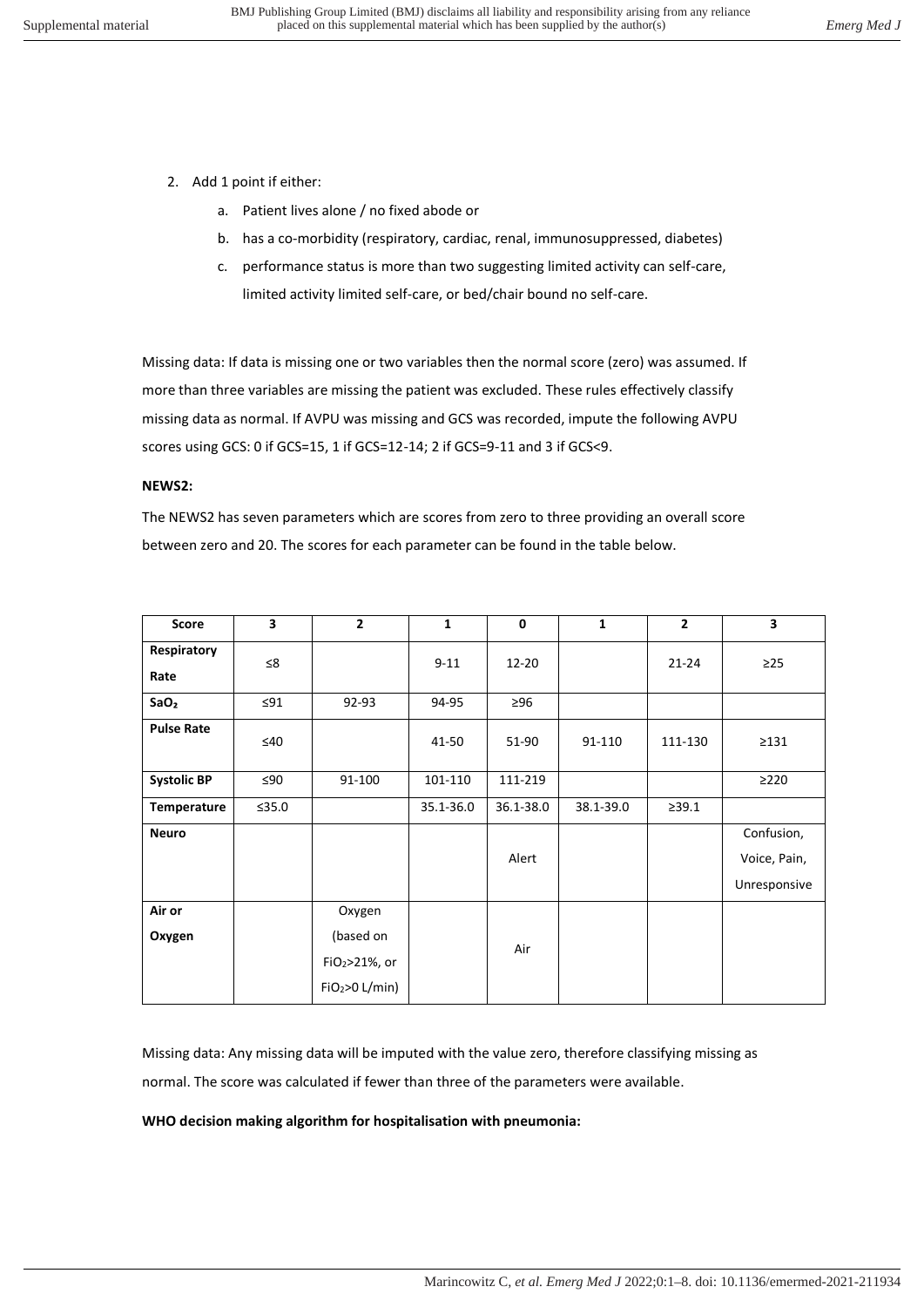- 2. Add 1 point if either:
	- a. Patient lives alone / no fixed abode or
	- b. has a co-morbidity (respiratory, cardiac, renal, immunosuppressed, diabetes)
	- c. performance status is more than two suggesting limited activity can self-care, limited activity limited self-care, or bed/chair bound no self-care.

Missing data: If data is missing one or two variables then the normal score (zero) was assumed. If more than three variables are missing the patient was excluded. These rules effectively classify missing data as normal. If AVPU was missing and GCS was recorded, impute the following AVPU scores using GCS: 0 if GCS=15, 1 if GCS=12-14; 2 if GCS=9-11 and 3 if GCS<9.

### **NEWS2:**

The NEWS2 has seven parameters which are scores from zero to three providing an overall score between zero and 20. The scores for each parameter can be found in the table below.

| <b>Score</b>        | 3         | $\overline{2}$             | 1         | $\mathbf 0$ | $\mathbf{1}$ | $\overline{2}$ | 3                          |
|---------------------|-----------|----------------------------|-----------|-------------|--------------|----------------|----------------------------|
| Respiratory<br>Rate | ≤8        |                            | $9 - 11$  | 12-20       |              | $21 - 24$      | $\geq$ 25                  |
| SaO <sub>2</sub>    | $\leq 91$ | 92-93                      | 94-95     | $\geq 96$   |              |                |                            |
| <b>Pulse Rate</b>   | $\leq 40$ |                            | 41-50     | 51-90       | 91-110       | 111-130        | $\geq$ 131                 |
| <b>Systolic BP</b>  | ≤90       | 91-100                     | 101-110   | 111-219     |              |                | $\geq$ 220                 |
| Temperature         | ≤35.0     |                            | 35.1-36.0 | 36.1-38.0   | 38.1-39.0    | >39.1          |                            |
| <b>Neuro</b>        |           |                            |           | Alert       |              |                | Confusion,<br>Voice, Pain, |
|                     |           |                            |           |             |              |                | Unresponsive               |
| Air or              |           | Oxygen                     |           |             |              |                |                            |
| Oxygen              |           | (based on                  |           | Air         |              |                |                            |
|                     |           | FiO2>21%, or               |           |             |              |                |                            |
|                     |           | FiO <sub>2</sub> >O L/min) |           |             |              |                |                            |

Missing data: Any missing data will be imputed with the value zero, therefore classifying missing as normal. The score was calculated if fewer than three of the parameters were available.

### **WHO decision making algorithm for hospitalisation with pneumonia:**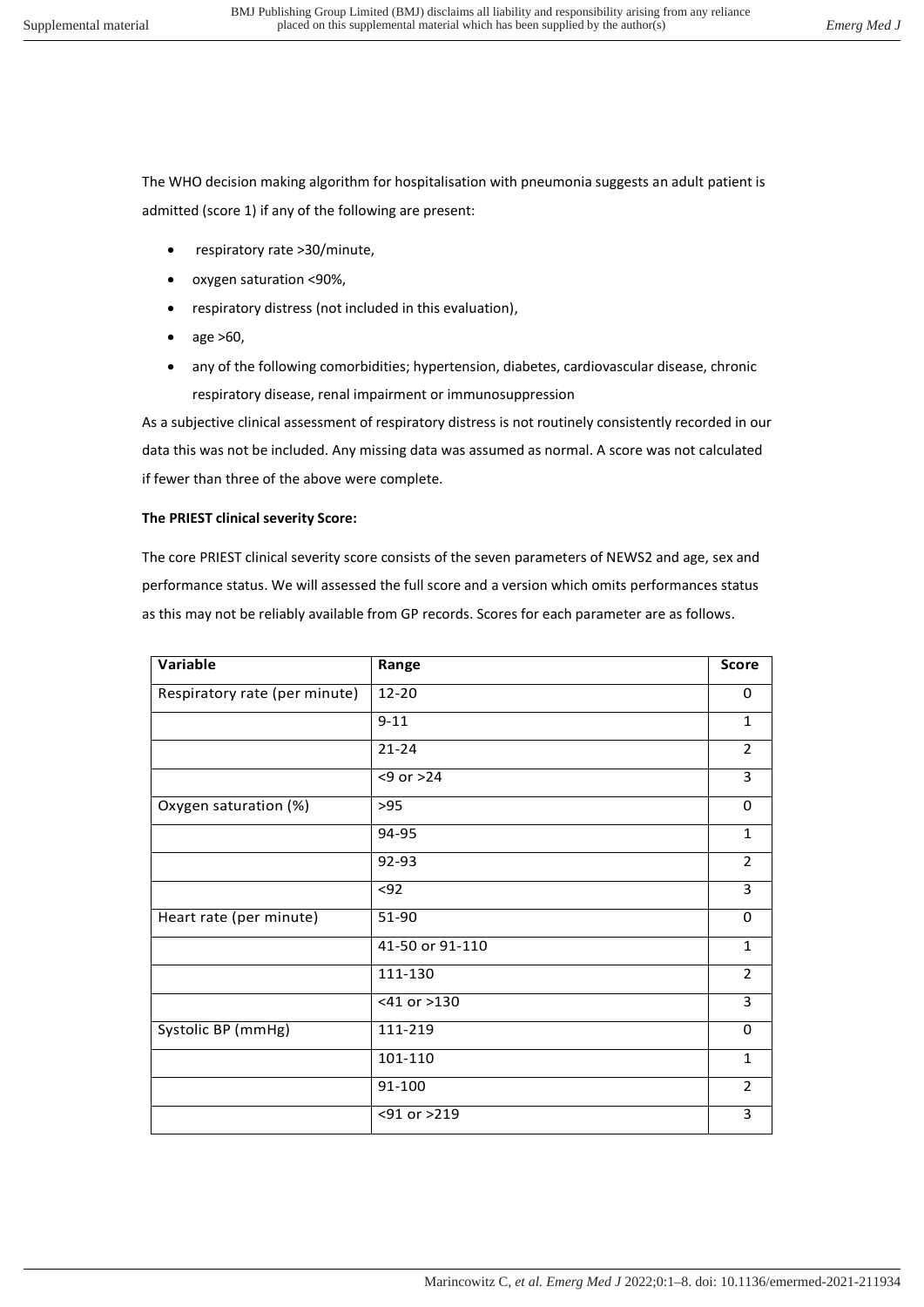The WHO decision making algorithm for hospitalisation with pneumonia suggests an adult patient is admitted (score 1) if any of the following are present:

- respiratory rate >30/minute,
- oxygen saturation <90%,
- respiratory distress (not included in this evaluation),
- age >60,
- any of the following comorbidities; hypertension, diabetes, cardiovascular disease, chronic respiratory disease, renal impairment or immunosuppression

As a subjective clinical assessment of respiratory distress is not routinely consistently recorded in our data this was not be included. Any missing data was assumed as normal. A score was not calculated if fewer than three of the above were complete.

## **The PRIEST clinical severity Score:**

The core PRIEST clinical severity score consists of the seven parameters of NEWS2 and age, sex and performance status. We will assessed the full score and a version which omits performances status as this may not be reliably available from GP records. Scores for each parameter are as follows.

| Variable                      | Range           | <b>Score</b>   |
|-------------------------------|-----------------|----------------|
| Respiratory rate (per minute) | 12-20           | 0              |
|                               | $9 - 11$        | $\mathbf{1}$   |
|                               | $21 - 24$       | 2              |
|                               | $<9$ or $>24$   | 3              |
| Oxygen saturation (%)         | >95             | 0              |
|                               | 94-95           | $\mathbf{1}$   |
|                               | 92-93           | $\overline{2}$ |
|                               | $92$            | 3              |
| Heart rate (per minute)       | 51-90           | 0              |
|                               | 41-50 or 91-110 | $\mathbf{1}$   |
|                               | 111-130         | $\overline{2}$ |
|                               | <41 or >130     | 3              |
| Systolic BP (mmHg)            | 111-219         | 0              |
|                               | 101-110         | $\mathbf{1}$   |
|                               | 91-100          | 2              |
|                               | <91 or >219     | 3              |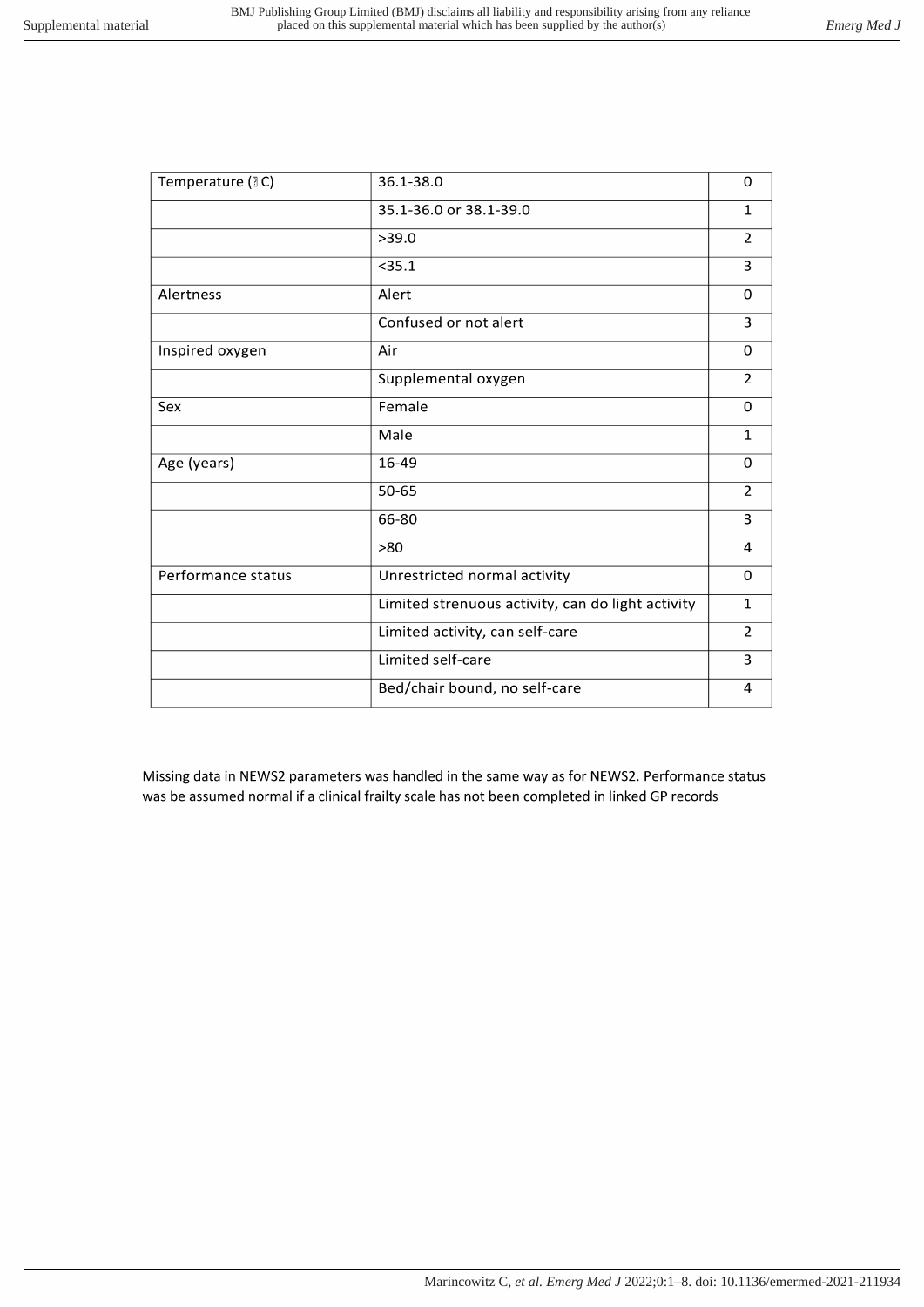| Temperature (DC)   | 36.1-38.0                                         | 0              |
|--------------------|---------------------------------------------------|----------------|
|                    | 35.1-36.0 or 38.1-39.0                            | $\mathbf{1}$   |
|                    | >39.0                                             | $\overline{2}$ |
|                    | $<$ 35.1                                          | 3              |
| Alertness          | Alert                                             | $\Omega$       |
|                    | Confused or not alert                             | 3              |
| Inspired oxygen    | Air                                               | $\mathbf 0$    |
|                    | Supplemental oxygen                               | $\overline{2}$ |
| Sex                | Female                                            | $\Omega$       |
|                    | Male                                              | $\mathbf{1}$   |
| Age (years)        | 16-49                                             | 0              |
|                    | 50-65                                             | $\overline{2}$ |
|                    | 66-80                                             | 3              |
|                    | >80                                               | 4              |
| Performance status | Unrestricted normal activity                      | $\Omega$       |
|                    | Limited strenuous activity, can do light activity | $\mathbf{1}$   |
|                    | Limited activity, can self-care                   | $\overline{2}$ |
|                    | Limited self-care                                 | 3              |
|                    | Bed/chair bound, no self-care                     | 4              |
|                    |                                                   |                |

Missing data in NEWS2 parameters was handled in the same way as for NEWS2. Performance status was be assumed normal if a clinical frailty scale has not been completed in linked GP records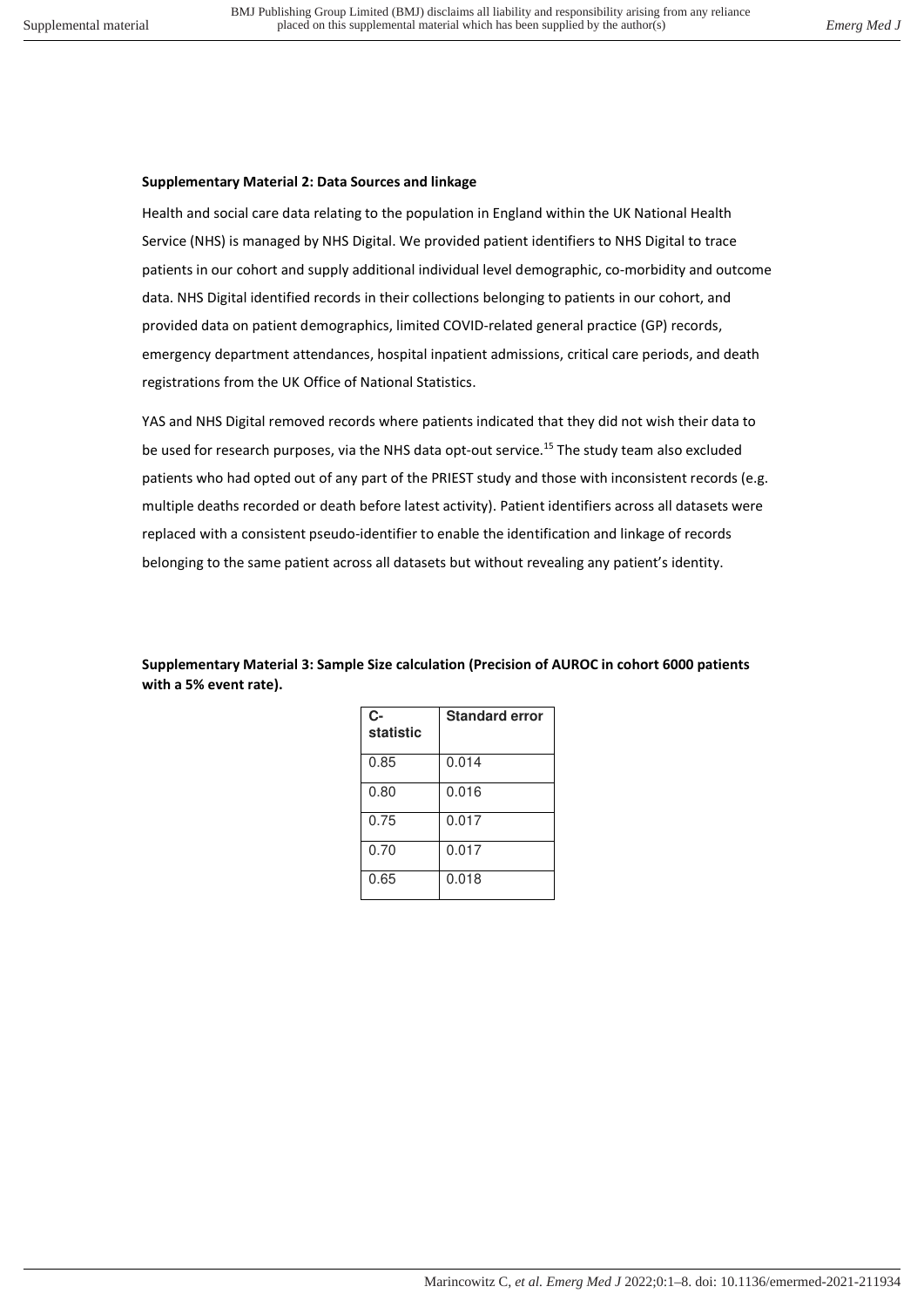# **Supplementary Material 2: Data Sources and linkage**

Health and social care data relating to the population in England within the UK National Health Service (NHS) is managed by NHS Digital. We provided patient identifiers to NHS Digital to trace patients in our cohort and supply additional individual level demographic, co-morbidity and outcome data. NHS Digital identified records in their collections belonging to patients in our cohort, and provided data on patient demographics, limited COVID-related general practice (GP) records, emergency department attendances, hospital inpatient admissions, critical care periods, and death registrations from the UK Office of National Statistics.

YAS and NHS Digital removed records where patients indicated that they did not wish their data to be used for research purposes, via the NHS data opt-out service.<sup>15</sup> The study team also excluded patients who had opted out of any part of the PRIEST study and those with inconsistent records (e.g. multiple deaths recorded or death before latest activity). Patient identifiers across all datasets were replaced with a consistent pseudo-identifier to enable the identification and linkage of records belonging to the same patient across all datasets but without revealing any patient's identity.

**Supplementary Material 3: Sample Size calculation (Precision of AUROC in cohort 6000 patients with a 5% event rate).** 

| C-<br>statistic | <b>Standard error</b> |
|-----------------|-----------------------|
| 0.85            | 0.014                 |
| 0.80            | 0.016                 |
| 0.75            | 0.017                 |
| 0.70            | 0.017                 |
| 0.65            | 0.018                 |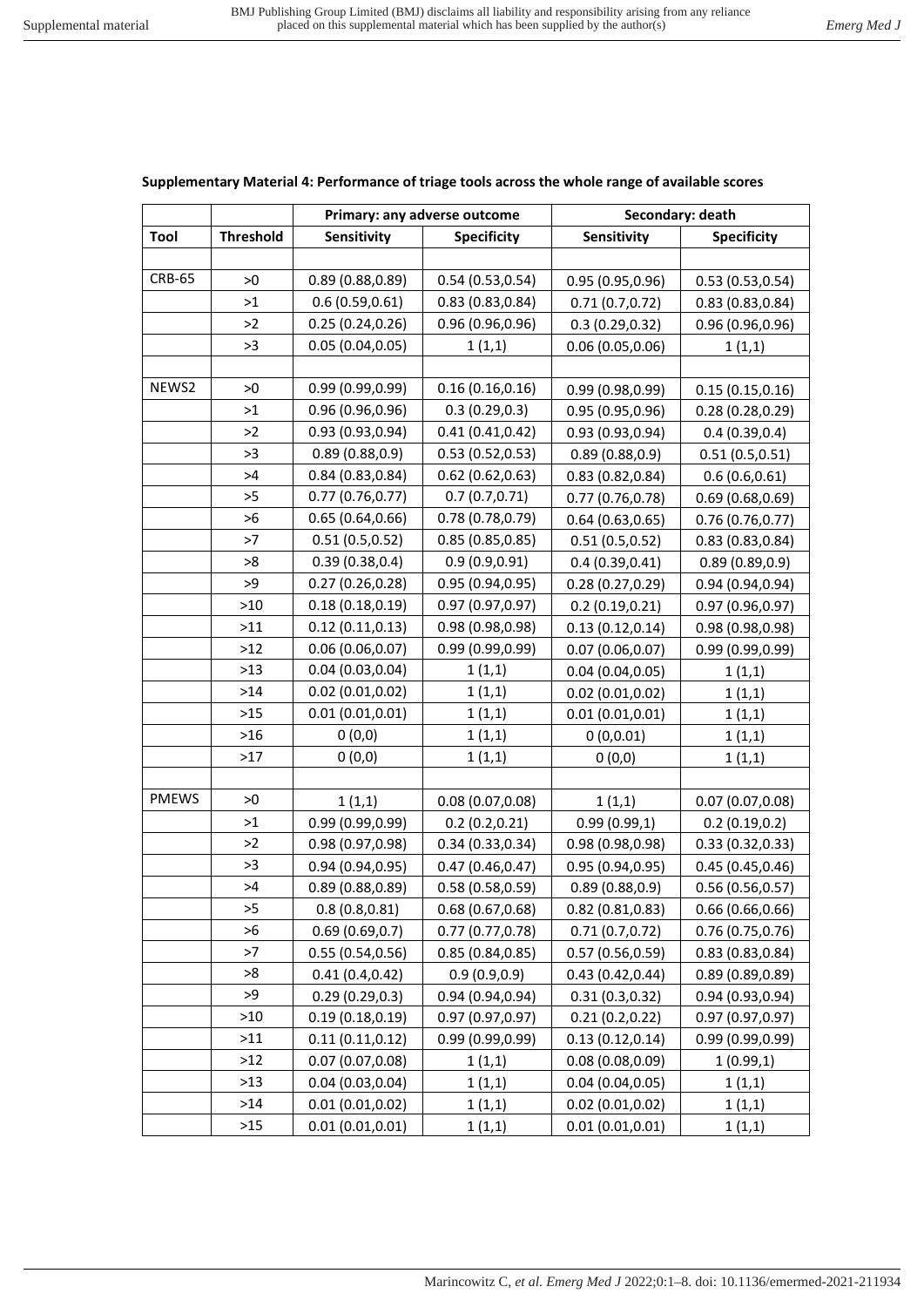# **Supplementary Material 4: Performance of triage tools across the whole range of available scores**

|               |                  |                  | Primary: any adverse outcome |                  | Secondary: death   |
|---------------|------------------|------------------|------------------------------|------------------|--------------------|
| Tool          | <b>Threshold</b> | Sensitivity      | <b>Specificity</b>           | Sensitivity      | <b>Specificity</b> |
|               |                  |                  |                              |                  |                    |
| <b>CRB-65</b> | >0               | 0.89(0.88, 0.89) | 0.54(0.53, 0.54)             | 0.95(0.95, 0.96) | 0.53(0.53, 0.54)   |
|               | $>1$             | 0.6(0.59, 0.61)  | 0.83(0.83, 0.84)             | 0.71(0.7,0.72)   | 0.83(0.83, 0.84)   |
|               | >2               | 0.25(0.24, 0.26) | 0.96(0.96, 0.96)             | 0.3(0.29, 0.32)  | 0.96(0.96, 0.96)   |
|               | >3               | 0.05(0.04, 0.05) | 1(1,1)                       | 0.06(0.05, 0.06) | 1(1,1)             |
|               |                  |                  |                              |                  |                    |
| NEWS2         | >0               | 0.99(0.99, 0.99) | 0.16(0.16, 0.16)             | 0.99(0.98, 0.99) | 0.15(0.15, 0.16)   |
|               | >1               | 0.96(0.96, 0.96) | 0.3(0.29, 0.3)               | 0.95 (0.95,0.96) | 0.28(0.28, 0.29)   |
|               | >2               | 0.93(0.93, 0.94) | 0.41(0.41, 0.42)             | 0.93(0.93, 0.94) | 0.4(0.39, 0.4)     |
|               | >3               | 0.89(0.88, 0.9)  | 0.53(0.52, 0.53)             | 0.89(0.88, 0.9)  | 0.51(0.5, 0.51)    |
|               | >4               | 0.84(0.83, 0.84) | 0.62(0.62, 0.63)             | 0.83(0.82, 0.84) | 0.6(0.6, 0.61)     |
|               | >5               | 0.77(0.76, 0.77) | 0.7(0.7, 0.71)               | 0.77(0.76, 0.78) | 0.69(0.68, 0.69)   |
|               | >6               | 0.65(0.64, 0.66) | 0.78(0.78, 0.79)             | 0.64(0.63, 0.65) | 0.76(0.76, 0.77)   |
|               | >7               | 0.51(0.5, 0.52)  | 0.85(0.85, 0.85)             | 0.51(0.5, 0.52)  | 0.83(0.83, 0.84)   |
|               | >8               | 0.39(0.38, 0.4)  | 0.9(0.9, 0.91)               | 0.4(0.39, 0.41)  | 0.89(0.89, 0.9)    |
|               | >9               | 0.27(0.26, 0.28) | 0.95(0.94, 0.95)             | 0.28(0.27, 0.29) | 0.94(0.94, 0.94)   |
|               | >10              | 0.18(0.18, 0.19) | 0.97(0.97, 0.97)             | 0.2(0.19, 0.21)  | 0.97(0.96, 0.97)   |
|               | $>11$            | 0.12(0.11, 0.13) | 0.98(0.98, 0.98)             | 0.13(0.12, 0.14) | 0.98 (0.98,0.98)   |
|               | $>12$            | 0.06(0.06, 0.07) | 0.99(0.99, 0.99)             | 0.07(0.06, 0.07) | 0.99(0.99, 0.99)   |
|               | $>13$            | 0.04(0.03, 0.04) | 1(1,1)                       | 0.04(0.04, 0.05) | 1(1,1)             |
|               | $>14$            | 0.02(0.01, 0.02) | 1(1,1)                       | 0.02(0.01, 0.02) | 1(1,1)             |
|               | >15              | 0.01(0.01, 0.01) | 1(1,1)                       | 0.01(0.01, 0.01) | 1(1,1)             |
|               | $>16$            | 0(0,0)           | 1(1,1)                       | 0(0,0.01)        | 1(1,1)             |
|               | $>17$            | 0(0,0)           | 1(1,1)                       | 0(0,0)           | 1(1,1)             |
|               |                  |                  |                              |                  |                    |
| <b>PMEWS</b>  | >0               | 1(1,1)           | 0.08(0.07, 0.08)             | 1(1,1)           | 0.07(0.07, 0.08)   |
|               | >1               | 0.99(0.99, 0.99) | 0.2(0.2,0.21)                | 0.99(0.99,1)     | 0.2(0.19, 0.2)     |
|               | >2               | 0.98 (0.97,0.98) | 0.34(0.33, 0.34)             | 0.98(0.98, 0.98) | 0.33(0.32,0.33)    |
|               | >3               | 0.94(0.94, 0.95) | 0.47(0.46, 0.47)             | 0.95(0.94, 0.95) | 0.45(0.45, 0.46)   |
|               | >4               | 0.89(0.88, 0.89) | 0.58(0.58, 0.59)             | 0.89(0.88, 0.9)  | 0.56(0.56, 0.57)   |
|               | >5               | 0.8(0.8, 0.81)   | 0.68(0.67, 0.68)             | 0.82(0.81, 0.83) | 0.66(0.66, 0.66)   |
|               | >6               | 0.69(0.69, 0.7)  | 0.77(0.77, 0.78)             | 0.71(0.7,0.72)   | 0.76(0.75,0.76)    |
|               | >7               | 0.55(0.54, 0.56) | 0.85(0.84, 0.85)             | 0.57(0.56, 0.59) | 0.83(0.83, 0.84)   |
|               | >8               | 0.41(0.4, 0.42)  | 0.9(0.9, 0.9)                | 0.43(0.42, 0.44) | 0.89(0.89, 0.89)   |
|               | >9               | 0.29(0.29, 0.3)  | 0.94(0.94, 0.94)             | 0.31(0.3,0.32)   | 0.94(0.93, 0.94)   |
|               | >10              | 0.19(0.18, 0.19) | 0.97(0.97, 0.97)             | 0.21(0.2,0.22)   | 0.97(0.97, 0.97)   |
|               | $>11$            | 0.11(0.11, 0.12) | 0.99(0.99, 0.99)             | 0.13(0.12, 0.14) | 0.99(0.99, 0.99)   |
|               | >12              | 0.07(0.07,0.08)  | 1(1,1)                       | 0.08(0.08, 0.09) | 1(0.99,1)          |
|               | $>13$            | 0.04(0.03, 0.04) | 1(1,1)                       | 0.04(0.04, 0.05) | 1(1,1)             |
|               | >14              | 0.01(0.01, 0.02) | 1(1,1)                       | 0.02(0.01, 0.02) | 1(1,1)             |
|               | >15              | 0.01(0.01, 0.01) | 1(1,1)                       | 0.01(0.01, 0.01) | 1(1,1)             |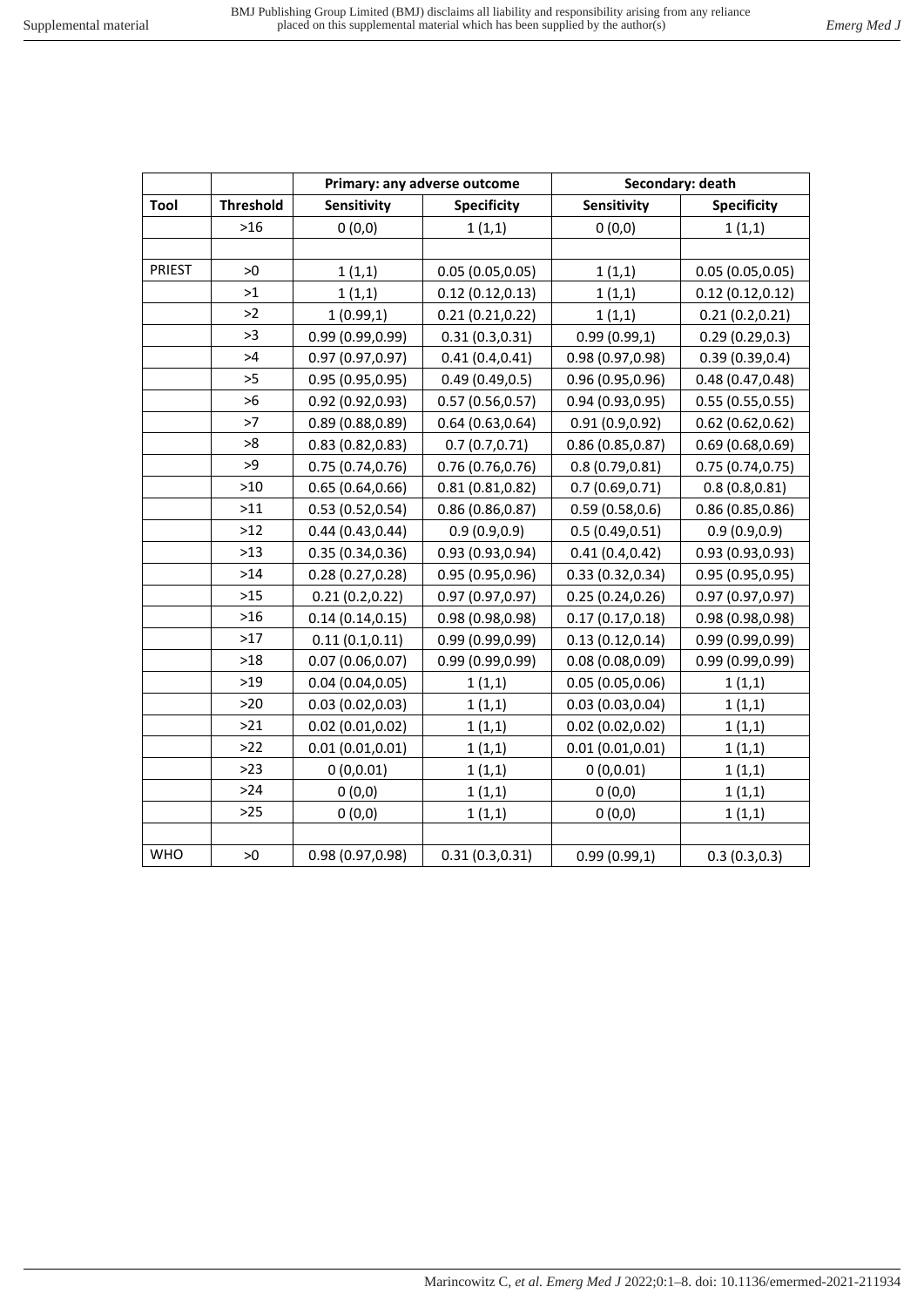|            |                  |                    | Primary: any adverse outcome |                  | Secondary: death   |
|------------|------------------|--------------------|------------------------------|------------------|--------------------|
| Tool       | <b>Threshold</b> | <b>Sensitivity</b> | <b>Specificity</b>           | Sensitivity      | <b>Specificity</b> |
|            | $>16$            | 0(0,0)             | 1(1,1)                       | 0(0,0)           | 1(1,1)             |
|            |                  |                    |                              |                  |                    |
| PRIEST     | >0               | 1(1,1)             | 0.05(0.05, 0.05)             | 1(1,1)           | 0.05(0.05, 0.05)   |
|            | >1               | 1(1,1)             | 0.12(0.12, 0.13)             | 1(1,1)           | 0.12(0.12, 0.12)   |
|            | >2               | 1(0.99,1)          | 0.21(0.21, 0.22)             | 1(1,1)           | 0.21(0.2, 0.21)    |
|            | >3               | 0.99 (0.99,0.99)   | 0.31(0.3, 0.31)              | 0.99(0.99,1)     | 0.29(0.29, 0.3)    |
|            | >4               | 0.97(0.97, 0.97)   | 0.41(0.4, 0.41)              | 0.98 (0.97,0.98) | 0.39(0.39, 0.4)    |
|            | >5               | 0.95(0.95, 0.95)   | 0.49(0.49, 0.5)              | 0.96(0.95, 0.96) | 0.48(0.47, 0.48)   |
|            | >6               | 0.92(0.92, 0.93)   | 0.57(0.56, 0.57)             | 0.94(0.93, 0.95) | 0.55(0.55, 0.55)   |
|            | >7               | 0.89(0.88, 0.89)   | 0.64(0.63, 0.64)             | 0.91(0.9, 0.92)  | 0.62(0.62, 0.62)   |
|            | >8               | 0.83(0.82, 0.83)   | 0.7(0.7, 0.71)               | 0.86(0.85, 0.87) | 0.69(0.68, 0.69)   |
|            | >9               | 0.75(0.74, 0.76)   | 0.76(0.76, 0.76)             | 0.8(0.79, 0.81)  | 0.75(0.74, 0.75)   |
|            | $>10$            | 0.65(0.64, 0.66)   | 0.81(0.81, 0.82)             | 0.7(0.69, 0.71)  | 0.8(0.8, 0.81)     |
|            | $>11$            | 0.53(0.52, 0.54)   | 0.86(0.86, 0.87)             | 0.59(0.58, 0.6)  | 0.86(0.85, 0.86)   |
|            | $>12$            | 0.44(0.43, 0.44)   | 0.9(0.9, 0.9)                | 0.5(0.49, 0.51)  | 0.9(0.9, 0.9)      |
|            | $>13$            | 0.35(0.34, 0.36)   | 0.93(0.93, 0.94)             | 0.41(0.4, 0.42)  | 0.93(0.93, 0.93)   |
|            | $>14$            | 0.28(0.27, 0.28)   | 0.95(0.95, 0.96)             | 0.33(0.32, 0.34) | 0.95(0.95, 0.95)   |
|            | $>15$            | 0.21(0.2,0.22)     | 0.97(0.97, 0.97)             | 0.25(0.24, 0.26) | 0.97 (0.97,0.97)   |
|            | $>16$            | 0.14(0.14, 0.15)   | 0.98 (0.98,0.98)             | 0.17(0.17, 0.18) | 0.98 (0.98,0.98)   |
|            | $>17$            | 0.11(0.1, 0.11)    | 0.99(0.99, 0.99)             | 0.13(0.12, 0.14) | 0.99(0.99, 0.99)   |
|            | $>18$            | 0.07(0.06, 0.07)   | 0.99(0.99, 0.99)             | 0.08(0.08, 0.09) | 0.99 (0.99,0.99)   |
|            | $>19$            | 0.04(0.04, 0.05)   | 1(1,1)                       | 0.05(0.05, 0.06) | 1(1,1)             |
|            | $>20$            | 0.03(0.02, 0.03)   | 1(1,1)                       | 0.03(0.03, 0.04) | 1(1,1)             |
|            | $>21$            | 0.02(0.01, 0.02)   | 1(1,1)                       | 0.02(0.02, 0.02) | 1(1,1)             |
|            | $>22$            | 0.01(0.01, 0.01)   | 1(1,1)                       | 0.01(0.01, 0.01) | 1(1,1)             |
|            | $>23$            | 0(0,0.01)          | 1(1,1)                       | 0(0,0.01)        | 1(1,1)             |
|            | $>24$            | 0(0,0)             | 1(1,1)                       | 0(0,0)           | 1(1,1)             |
|            | $>25$            | 0(0,0)             | 1(1,1)                       | 0(0,0)           | 1(1,1)             |
|            |                  |                    |                              |                  |                    |
| <b>WHO</b> | >0               | 0.98 (0.97,0.98)   | 0.31(0.3,0.31)               | 0.99(0.99,1)     | 0.3(0.3,0.3)       |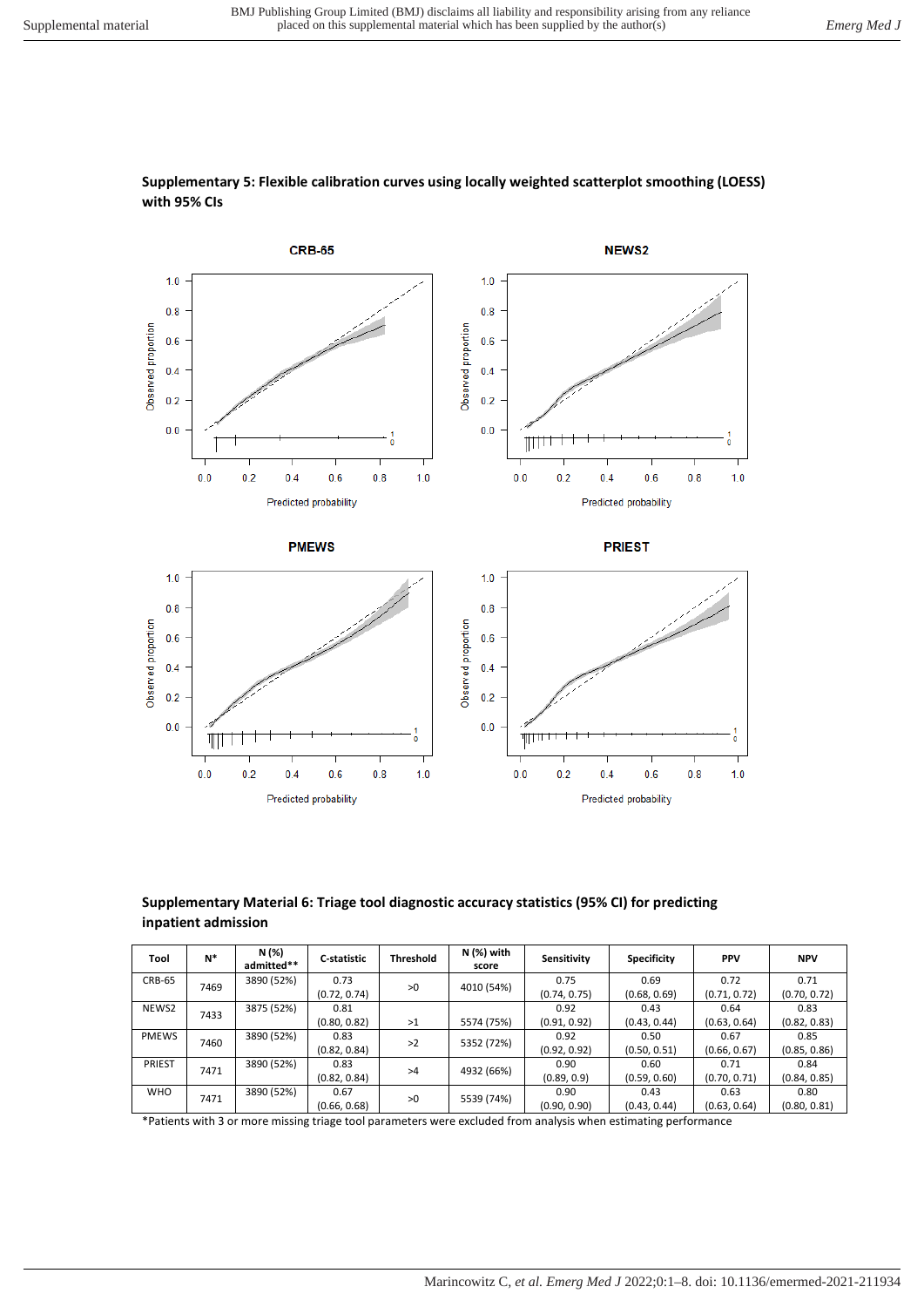

## **Supplementary 5: Flexible calibration curves using locally weighted scatterplot smoothing (LOESS) with 95% CIs**

## **Supplementary Material 6: Triage tool diagnostic accuracy statistics (95% CI) for predicting inpatient admission**

| Tool          | N*   | N (%)<br>admitted** | C-statistic  | <b>Threshold</b> | $N$ (%) with<br>score | Sensitivity  | <b>Specificity</b> | <b>PPV</b>   | <b>NPV</b>   |
|---------------|------|---------------------|--------------|------------------|-----------------------|--------------|--------------------|--------------|--------------|
| <b>CRB-65</b> | 7469 | 3890 (52%)          | 0.73         | >0               | 4010 (54%)            | 0.75         | 0.69               | 0.72         | 0.71         |
|               |      |                     | (0.72, 0.74) |                  |                       | (0.74, 0.75) | (0.68, 0.69)       | (0.71, 0.72) | (0.70, 0.72) |
| NEWS2         | 7433 | 3875 (52%)          | 0.81         |                  |                       | 0.92         | 0.43               | 0.64         | 0.83         |
|               |      |                     | (0.80, 0.82) | >1               | 5574 (75%)            | (0.91, 0.92) | (0.43, 0.44)       | (0.63, 0.64) | (0.82, 0.83) |
| <b>PMEWS</b>  | 7460 | 3890 (52%)          | 0.83         | >2               | 5352 (72%)            | 0.92         | 0.50               | 0.67         | 0.85         |
|               |      |                     | (0.82, 0.84) |                  |                       | (0.92, 0.92) | (0.50, 0.51)       | (0.66, 0.67) | (0.85, 0.86) |
| <b>PRIEST</b> |      | 3890 (52%)          | 0.83         | >4               | 4932 (66%)            | 0.90         | 0.60               | 0.71         | 0.84         |
| 7471          |      | (0.82, 0.84)        |              |                  | (0.89, 0.9)           | (0.59, 0.60) | (0.70, 0.71)       | (0.84, 0.85) |              |
| <b>WHO</b>    |      | 3890 (52%)          | 0.67         | >0               |                       | 0.90         | 0.43               | 0.63         | 0.80         |
| 7471          |      | (0.66, 0.68)        |              | 5539 (74%)       | (0.90, 0.90)          | (0.43, 0.44) | (0.63, 0.64)       | (0.80, 0.81) |              |

\*Patients with 3 or more missing triage tool parameters were excluded from analysis when estimating performance